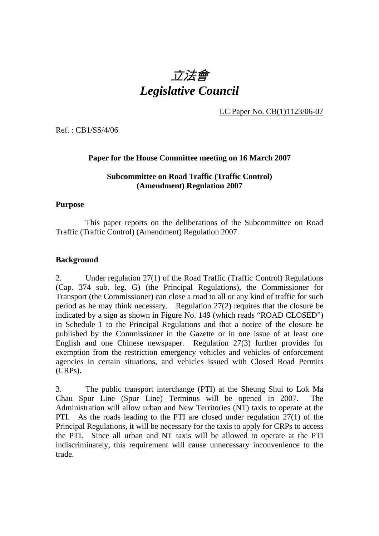# 立法會 *Legislative Council*

LC Paper No. CB(1)1123/06-07

Ref. : CB1/SS/4/06

#### **Paper for the House Committee meeting on 16 March 2007**

# **Subcommittee on Road Traffic (Traffic Control) (Amendment) Regulation 2007**

#### **Purpose**

This paper reports on the deliberations of the Subcommittee on Road Traffic (Traffic Control) (Amendment) Regulation 2007.

#### **Background**

2. Under regulation 27(1) of the Road Traffic (Traffic Control) Regulations (Cap. 374 sub. leg. G) (the Principal Regulations), the Commissioner for Transport (the Commissioner) can close a road to all or any kind of traffic for such period as he may think necessary. Regulation 27(2) requires that the closure be indicated by a sign as shown in Figure No. 149 (which reads "ROAD CLOSED") in Schedule 1 to the Principal Regulations and that a notice of the closure be published by the Commissioner in the Gazette or in one issue of at least one English and one Chinese newspaper. Regulation 27(3) further provides for exemption from the restriction emergency vehicles and vehicles of enforcement agencies in certain situations, and vehicles issued with Closed Road Permits (CRPs).

3. The public transport interchange (PTI) at the Sheung Shui to Lok Ma Chau Spur Line (Spur Line) Terminus will be opened in 2007. The Administration will allow urban and New Territories (NT) taxis to operate at the PTI. As the roads leading to the PTI are closed under regulation 27(1) of the Principal Regulations, it will be necessary for the taxis to apply for CRPs to access the PTI. Since all urban and NT taxis will be allowed to operate at the PTI indiscriminately, this requirement will cause unnecessary inconvenience to the trade.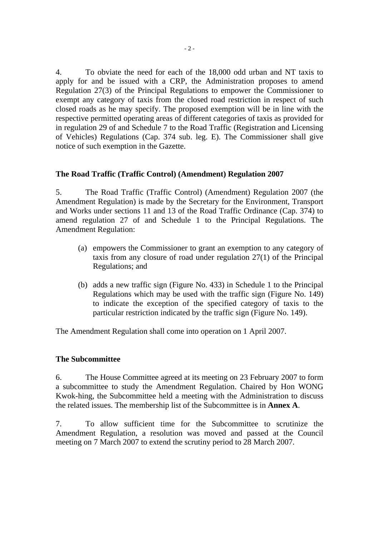4. To obviate the need for each of the 18,000 odd urban and NT taxis to apply for and be issued with a CRP, the Administration proposes to amend Regulation 27(3) of the Principal Regulations to empower the Commissioner to exempt any category of taxis from the closed road restriction in respect of such closed roads as he may specify. The proposed exemption will be in line with the respective permitted operating areas of different categories of taxis as provided for in regulation 29 of and Schedule 7 to the Road Traffic (Registration and Licensing of Vehicles) Regulations (Cap. 374 sub. leg. E). The Commissioner shall give notice of such exemption in the Gazette.

# **The Road Traffic (Traffic Control) (Amendment) Regulation 2007**

5. The Road Traffic (Traffic Control) (Amendment) Regulation 2007 (the Amendment Regulation) is made by the Secretary for the Environment, Transport and Works under sections 11 and 13 of the Road Traffic Ordinance (Cap. 374) to amend regulation 27 of and Schedule 1 to the Principal Regulations. The Amendment Regulation:

- (a) empowers the Commissioner to grant an exemption to any category of taxis from any closure of road under regulation 27(1) of the Principal Regulations; and
- (b) adds a new traffic sign (Figure No. 433) in Schedule 1 to the Principal Regulations which may be used with the traffic sign (Figure No. 149) to indicate the exception of the specified category of taxis to the particular restriction indicated by the traffic sign (Figure No. 149).

The Amendment Regulation shall come into operation on 1 April 2007.

## **The Subcommittee**

6. The House Committee agreed at its meeting on 23 February 2007 to form a subcommittee to study the Amendment Regulation. Chaired by Hon WONG Kwok-hing, the Subcommittee held a meeting with the Administration to discuss the related issues. The membership list of the Subcommittee is in **Annex A**.

7. To allow sufficient time for the Subcommittee to scrutinize the Amendment Regulation, a resolution was moved and passed at the Council meeting on 7 March 2007 to extend the scrutiny period to 28 March 2007.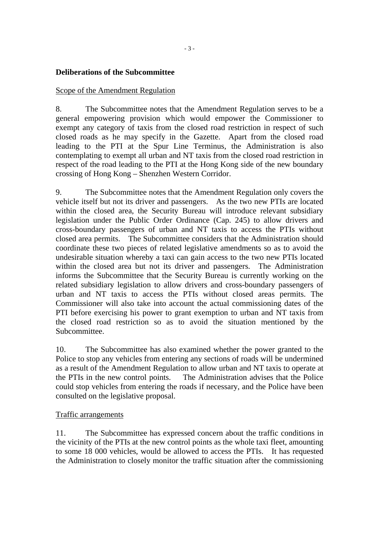# **Deliberations of the Subcommittee**

#### Scope of the Amendment Regulation

8. The Subcommittee notes that the Amendment Regulation serves to be a general empowering provision which would empower the Commissioner to exempt any category of taxis from the closed road restriction in respect of such closed roads as he may specify in the Gazette. Apart from the closed road leading to the PTI at the Spur Line Terminus, the Administration is also contemplating to exempt all urban and NT taxis from the closed road restriction in respect of the road leading to the PTI at the Hong Kong side of the new boundary crossing of Hong Kong – Shenzhen Western Corridor.

9. The Subcommittee notes that the Amendment Regulation only covers the vehicle itself but not its driver and passengers. As the two new PTIs are located within the closed area, the Security Bureau will introduce relevant subsidiary legislation under the Public Order Ordinance (Cap. 245) to allow drivers and cross-boundary passengers of urban and NT taxis to access the PTIs without closed area permits. The Subcommittee considers that the Administration should coordinate these two pieces of related legislative amendments so as to avoid the undesirable situation whereby a taxi can gain access to the two new PTIs located within the closed area but not its driver and passengers. The Administration informs the Subcommittee that the Security Bureau is currently working on the related subsidiary legislation to allow drivers and cross-boundary passengers of urban and NT taxis to access the PTIs without closed areas permits. The Commissioner will also take into account the actual commissioning dates of the PTI before exercising his power to grant exemption to urban and NT taxis from the closed road restriction so as to avoid the situation mentioned by the Subcommittee.

10. The Subcommittee has also examined whether the power granted to the Police to stop any vehicles from entering any sections of roads will be undermined as a result of the Amendment Regulation to allow urban and NT taxis to operate at the PTIs in the new control points. The Administration advises that the Police could stop vehicles from entering the roads if necessary, and the Police have been consulted on the legislative proposal.

#### Traffic arrangements

11. The Subcommittee has expressed concern about the traffic conditions in the vicinity of the PTIs at the new control points as the whole taxi fleet, amounting to some 18 000 vehicles, would be allowed to access the PTIs. It has requested the Administration to closely monitor the traffic situation after the commissioning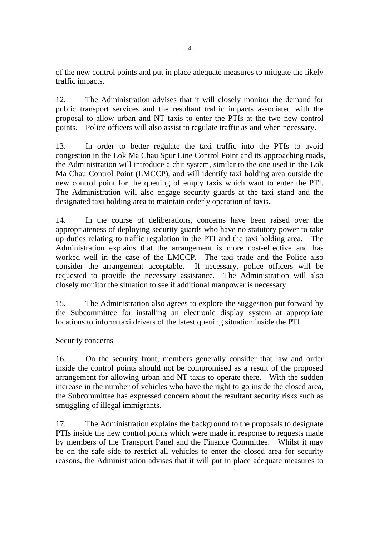of the new control points and put in place adequate measures to mitigate the likely traffic impacts.

12. The Administration advises that it will closely monitor the demand for public transport services and the resultant traffic impacts associated with the proposal to allow urban and NT taxis to enter the PTIs at the two new control points. Police officers will also assist to regulate traffic as and when necessary.

13. In order to better regulate the taxi traffic into the PTIs to avoid congestion in the Lok Ma Chau Spur Line Control Point and its approaching roads, the Administration will introduce a chit system, similar to the one used in the Lok Ma Chau Control Point (LMCCP), and will identify taxi holding area outside the new control point for the queuing of empty taxis which want to enter the PTI. The Administration will also engage security guards at the taxi stand and the designated taxi holding area to maintain orderly operation of taxis.

14. In the course of deliberations, concerns have been raised over the appropriateness of deploying security guards who have no statutory power to take up duties relating to traffic regulation in the PTI and the taxi holding area. The Administration explains that the arrangement is more cost-effective and has worked well in the case of the LMCCP. The taxi trade and the Police also consider the arrangement acceptable. If necessary, police officers will be requested to provide the necessary assistance. The Administration will also closely monitor the situation to see if additional manpower is necessary.

15. The Administration also agrees to explore the suggestion put forward by the Subcommittee for installing an electronic display system at appropriate locations to inform taxi drivers of the latest queuing situation inside the PTI.

## Security concerns

16. On the security front, members generally consider that law and order inside the control points should not be compromised as a result of the proposed arrangement for allowing urban and NT taxis to operate there. With the sudden increase in the number of vehicles who have the right to go inside the closed area, the Subcommittee has expressed concern about the resultant security risks such as smuggling of illegal immigrants.

17. The Administration explains the background to the proposals to designate PTIs inside the new control points which were made in response to requests made by members of the Transport Panel and the Finance Committee. Whilst it may be on the safe side to restrict all vehicles to enter the closed area for security reasons, the Administration advises that it will put in place adequate measures to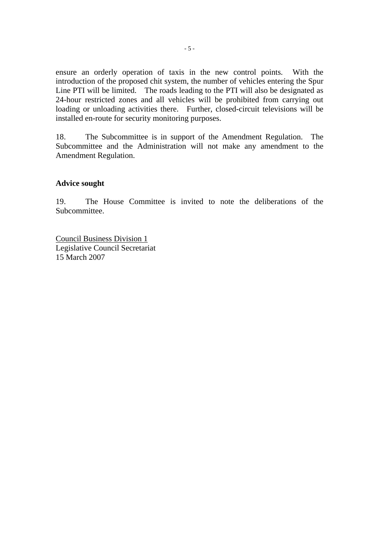ensure an orderly operation of taxis in the new control points. With the introduction of the proposed chit system, the number of vehicles entering the Spur Line PTI will be limited. The roads leading to the PTI will also be designated as 24-hour restricted zones and all vehicles will be prohibited from carrying out loading or unloading activities there. Further, closed-circuit televisions will be installed en-route for security monitoring purposes.

18. The Subcommittee is in support of the Amendment Regulation. The Subcommittee and the Administration will not make any amendment to the Amendment Regulation.

#### **Advice sought**

19. The House Committee is invited to note the deliberations of the Subcommittee.

Council Business Division 1 Legislative Council Secretariat 15 March 2007